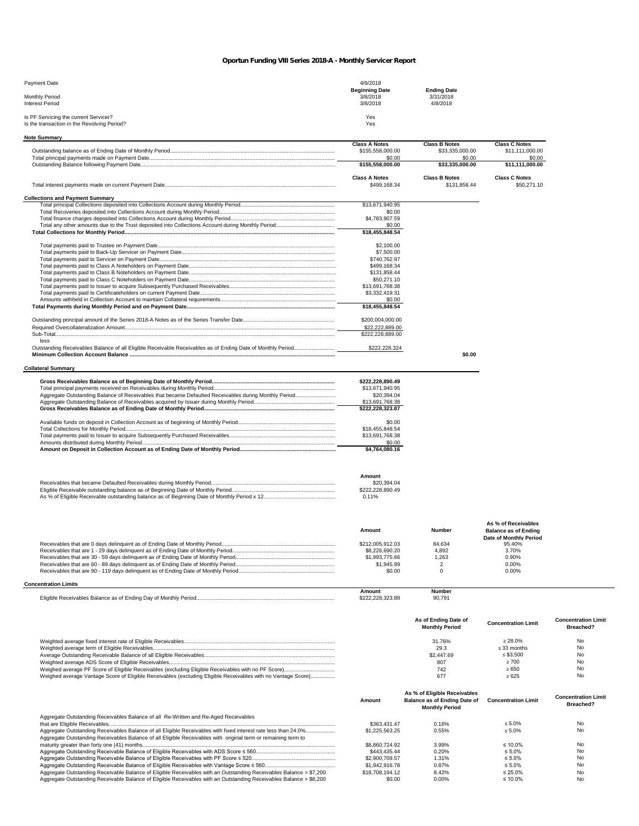## *Oportun Funding VIII Series 2018-A - Monthly Servicer Report*

| Payment Date                                | 4/9/2018              |                    |  |
|---------------------------------------------|-----------------------|--------------------|--|
|                                             | <b>Beginning Date</b> | <b>Ending Date</b> |  |
| <b>Monthly Period</b>                       | 3/8/2018              | 3/31/2018          |  |
| <b>Interest Period</b>                      | 3/8/2018              | 4/8/2018           |  |
|                                             |                       |                    |  |
| Is PF Servicing the current Servicer?       | Yes                   |                    |  |
| Is the transaction in the Revolving Period? | Yes                   |                    |  |

| \$33,335,000.00<br>\$155,558,000.00<br>\$11,111,000.00<br>\$0.00<br>\$0.00<br>\$0.00<br>\$155.558.000.00<br>\$33,335,000.00<br>\$11.111.000.00<br><b>Class A Notes</b><br><b>Class B Notes</b><br><b>Class C Notes</b><br>\$499,168,34<br>\$131.858.44<br>\$50,271.10<br><b>Collections and Payment Summary</b><br>\$13,671,940.95<br>\$0.00<br>\$4,783,907.59<br>\$0.00<br>\$18,455,848.54<br>\$2,100.00<br>\$7,500.00<br>\$740.762.97<br>\$499,168.34<br>\$131,858.44<br>\$50,271.10<br>\$13,691,768.38<br>\$3,332,419.31<br>\$0.00<br>\$18,455,848.54<br>\$200,004,000.00<br>\$22,222,889.00<br>\$222,226,889.00<br>less<br>Outstanding Receivables Balance of all Eligible Receivable Receivables as of Ending Date of Monthly Period<br>\$222,228,324<br>\$0.00<br>\$222.228.890.49<br>\$13,671,940.95<br>Aggregate Outstanding Balance of Receivables that became Defaulted Receivables during Monthly Period<br>\$20,394.04<br>\$13,691,768.38<br>\$222,228,323.87<br>\$0.00<br>\$18,455,848.54<br>\$13,691,768.38<br>\$0.00<br>\$4,764,080.16<br>Amount<br>\$20,394.04<br>\$222,228,890.49<br>0.11%<br>As % of Receivables<br>Amount<br>Number<br><b>Balance as of Ending</b><br>Date of Monthly Period<br>\$212.005.912.03<br>84.634<br>95.40%<br>\$8,226,690.20<br>4.892<br>3.70%<br>\$1,993,775.66<br>1.263<br>0.90%<br>\$1,945.99<br>$\overline{2}$<br>0.00%<br>$\mathbf 0$<br>\$0.00<br>0.00%<br>Amount<br>Number<br>\$222,228,323.88<br>90,791<br>As of Ending Date of<br><b>Concentration Limit</b><br><b>Concentration Limit</b> | <b>Note Summary</b>         |                      |                       |                      |                  |
|--------------------------------------------------------------------------------------------------------------------------------------------------------------------------------------------------------------------------------------------------------------------------------------------------------------------------------------------------------------------------------------------------------------------------------------------------------------------------------------------------------------------------------------------------------------------------------------------------------------------------------------------------------------------------------------------------------------------------------------------------------------------------------------------------------------------------------------------------------------------------------------------------------------------------------------------------------------------------------------------------------------------------------------------------------------------------------------------------------------------------------------------------------------------------------------------------------------------------------------------------------------------------------------------------------------------------------------------------------------------------------------------------------------------------------------------------------------------------------------------------------------------------------------------------|-----------------------------|----------------------|-----------------------|----------------------|------------------|
|                                                                                                                                                                                                                                                                                                                                                                                                                                                                                                                                                                                                                                                                                                                                                                                                                                                                                                                                                                                                                                                                                                                                                                                                                                                                                                                                                                                                                                                                                                                                                  |                             | <b>Class A Notes</b> | <b>Class B Notes</b>  | <b>Class C Notes</b> |                  |
|                                                                                                                                                                                                                                                                                                                                                                                                                                                                                                                                                                                                                                                                                                                                                                                                                                                                                                                                                                                                                                                                                                                                                                                                                                                                                                                                                                                                                                                                                                                                                  |                             |                      |                       |                      |                  |
|                                                                                                                                                                                                                                                                                                                                                                                                                                                                                                                                                                                                                                                                                                                                                                                                                                                                                                                                                                                                                                                                                                                                                                                                                                                                                                                                                                                                                                                                                                                                                  |                             |                      |                       |                      |                  |
|                                                                                                                                                                                                                                                                                                                                                                                                                                                                                                                                                                                                                                                                                                                                                                                                                                                                                                                                                                                                                                                                                                                                                                                                                                                                                                                                                                                                                                                                                                                                                  |                             |                      |                       |                      |                  |
|                                                                                                                                                                                                                                                                                                                                                                                                                                                                                                                                                                                                                                                                                                                                                                                                                                                                                                                                                                                                                                                                                                                                                                                                                                                                                                                                                                                                                                                                                                                                                  |                             |                      |                       |                      |                  |
|                                                                                                                                                                                                                                                                                                                                                                                                                                                                                                                                                                                                                                                                                                                                                                                                                                                                                                                                                                                                                                                                                                                                                                                                                                                                                                                                                                                                                                                                                                                                                  |                             |                      |                       |                      |                  |
|                                                                                                                                                                                                                                                                                                                                                                                                                                                                                                                                                                                                                                                                                                                                                                                                                                                                                                                                                                                                                                                                                                                                                                                                                                                                                                                                                                                                                                                                                                                                                  |                             |                      |                       |                      |                  |
|                                                                                                                                                                                                                                                                                                                                                                                                                                                                                                                                                                                                                                                                                                                                                                                                                                                                                                                                                                                                                                                                                                                                                                                                                                                                                                                                                                                                                                                                                                                                                  |                             |                      |                       |                      |                  |
|                                                                                                                                                                                                                                                                                                                                                                                                                                                                                                                                                                                                                                                                                                                                                                                                                                                                                                                                                                                                                                                                                                                                                                                                                                                                                                                                                                                                                                                                                                                                                  |                             |                      |                       |                      |                  |
|                                                                                                                                                                                                                                                                                                                                                                                                                                                                                                                                                                                                                                                                                                                                                                                                                                                                                                                                                                                                                                                                                                                                                                                                                                                                                                                                                                                                                                                                                                                                                  |                             |                      |                       |                      |                  |
|                                                                                                                                                                                                                                                                                                                                                                                                                                                                                                                                                                                                                                                                                                                                                                                                                                                                                                                                                                                                                                                                                                                                                                                                                                                                                                                                                                                                                                                                                                                                                  |                             |                      |                       |                      |                  |
|                                                                                                                                                                                                                                                                                                                                                                                                                                                                                                                                                                                                                                                                                                                                                                                                                                                                                                                                                                                                                                                                                                                                                                                                                                                                                                                                                                                                                                                                                                                                                  |                             |                      |                       |                      |                  |
|                                                                                                                                                                                                                                                                                                                                                                                                                                                                                                                                                                                                                                                                                                                                                                                                                                                                                                                                                                                                                                                                                                                                                                                                                                                                                                                                                                                                                                                                                                                                                  |                             |                      |                       |                      |                  |
|                                                                                                                                                                                                                                                                                                                                                                                                                                                                                                                                                                                                                                                                                                                                                                                                                                                                                                                                                                                                                                                                                                                                                                                                                                                                                                                                                                                                                                                                                                                                                  |                             |                      |                       |                      |                  |
|                                                                                                                                                                                                                                                                                                                                                                                                                                                                                                                                                                                                                                                                                                                                                                                                                                                                                                                                                                                                                                                                                                                                                                                                                                                                                                                                                                                                                                                                                                                                                  |                             |                      |                       |                      |                  |
|                                                                                                                                                                                                                                                                                                                                                                                                                                                                                                                                                                                                                                                                                                                                                                                                                                                                                                                                                                                                                                                                                                                                                                                                                                                                                                                                                                                                                                                                                                                                                  |                             |                      |                       |                      |                  |
|                                                                                                                                                                                                                                                                                                                                                                                                                                                                                                                                                                                                                                                                                                                                                                                                                                                                                                                                                                                                                                                                                                                                                                                                                                                                                                                                                                                                                                                                                                                                                  |                             |                      |                       |                      |                  |
|                                                                                                                                                                                                                                                                                                                                                                                                                                                                                                                                                                                                                                                                                                                                                                                                                                                                                                                                                                                                                                                                                                                                                                                                                                                                                                                                                                                                                                                                                                                                                  |                             |                      |                       |                      |                  |
|                                                                                                                                                                                                                                                                                                                                                                                                                                                                                                                                                                                                                                                                                                                                                                                                                                                                                                                                                                                                                                                                                                                                                                                                                                                                                                                                                                                                                                                                                                                                                  |                             |                      |                       |                      |                  |
|                                                                                                                                                                                                                                                                                                                                                                                                                                                                                                                                                                                                                                                                                                                                                                                                                                                                                                                                                                                                                                                                                                                                                                                                                                                                                                                                                                                                                                                                                                                                                  |                             |                      |                       |                      |                  |
|                                                                                                                                                                                                                                                                                                                                                                                                                                                                                                                                                                                                                                                                                                                                                                                                                                                                                                                                                                                                                                                                                                                                                                                                                                                                                                                                                                                                                                                                                                                                                  |                             |                      |                       |                      |                  |
|                                                                                                                                                                                                                                                                                                                                                                                                                                                                                                                                                                                                                                                                                                                                                                                                                                                                                                                                                                                                                                                                                                                                                                                                                                                                                                                                                                                                                                                                                                                                                  |                             |                      |                       |                      |                  |
|                                                                                                                                                                                                                                                                                                                                                                                                                                                                                                                                                                                                                                                                                                                                                                                                                                                                                                                                                                                                                                                                                                                                                                                                                                                                                                                                                                                                                                                                                                                                                  |                             |                      |                       |                      |                  |
|                                                                                                                                                                                                                                                                                                                                                                                                                                                                                                                                                                                                                                                                                                                                                                                                                                                                                                                                                                                                                                                                                                                                                                                                                                                                                                                                                                                                                                                                                                                                                  |                             |                      |                       |                      |                  |
|                                                                                                                                                                                                                                                                                                                                                                                                                                                                                                                                                                                                                                                                                                                                                                                                                                                                                                                                                                                                                                                                                                                                                                                                                                                                                                                                                                                                                                                                                                                                                  |                             |                      |                       |                      |                  |
|                                                                                                                                                                                                                                                                                                                                                                                                                                                                                                                                                                                                                                                                                                                                                                                                                                                                                                                                                                                                                                                                                                                                                                                                                                                                                                                                                                                                                                                                                                                                                  |                             |                      |                       |                      |                  |
|                                                                                                                                                                                                                                                                                                                                                                                                                                                                                                                                                                                                                                                                                                                                                                                                                                                                                                                                                                                                                                                                                                                                                                                                                                                                                                                                                                                                                                                                                                                                                  |                             |                      |                       |                      |                  |
|                                                                                                                                                                                                                                                                                                                                                                                                                                                                                                                                                                                                                                                                                                                                                                                                                                                                                                                                                                                                                                                                                                                                                                                                                                                                                                                                                                                                                                                                                                                                                  | <b>Collateral Summary</b>   |                      |                       |                      |                  |
|                                                                                                                                                                                                                                                                                                                                                                                                                                                                                                                                                                                                                                                                                                                                                                                                                                                                                                                                                                                                                                                                                                                                                                                                                                                                                                                                                                                                                                                                                                                                                  |                             |                      |                       |                      |                  |
|                                                                                                                                                                                                                                                                                                                                                                                                                                                                                                                                                                                                                                                                                                                                                                                                                                                                                                                                                                                                                                                                                                                                                                                                                                                                                                                                                                                                                                                                                                                                                  |                             |                      |                       |                      |                  |
|                                                                                                                                                                                                                                                                                                                                                                                                                                                                                                                                                                                                                                                                                                                                                                                                                                                                                                                                                                                                                                                                                                                                                                                                                                                                                                                                                                                                                                                                                                                                                  |                             |                      |                       |                      |                  |
|                                                                                                                                                                                                                                                                                                                                                                                                                                                                                                                                                                                                                                                                                                                                                                                                                                                                                                                                                                                                                                                                                                                                                                                                                                                                                                                                                                                                                                                                                                                                                  |                             |                      |                       |                      |                  |
|                                                                                                                                                                                                                                                                                                                                                                                                                                                                                                                                                                                                                                                                                                                                                                                                                                                                                                                                                                                                                                                                                                                                                                                                                                                                                                                                                                                                                                                                                                                                                  |                             |                      |                       |                      |                  |
|                                                                                                                                                                                                                                                                                                                                                                                                                                                                                                                                                                                                                                                                                                                                                                                                                                                                                                                                                                                                                                                                                                                                                                                                                                                                                                                                                                                                                                                                                                                                                  |                             |                      |                       |                      |                  |
|                                                                                                                                                                                                                                                                                                                                                                                                                                                                                                                                                                                                                                                                                                                                                                                                                                                                                                                                                                                                                                                                                                                                                                                                                                                                                                                                                                                                                                                                                                                                                  |                             |                      |                       |                      |                  |
|                                                                                                                                                                                                                                                                                                                                                                                                                                                                                                                                                                                                                                                                                                                                                                                                                                                                                                                                                                                                                                                                                                                                                                                                                                                                                                                                                                                                                                                                                                                                                  |                             |                      |                       |                      |                  |
|                                                                                                                                                                                                                                                                                                                                                                                                                                                                                                                                                                                                                                                                                                                                                                                                                                                                                                                                                                                                                                                                                                                                                                                                                                                                                                                                                                                                                                                                                                                                                  |                             |                      |                       |                      |                  |
|                                                                                                                                                                                                                                                                                                                                                                                                                                                                                                                                                                                                                                                                                                                                                                                                                                                                                                                                                                                                                                                                                                                                                                                                                                                                                                                                                                                                                                                                                                                                                  |                             |                      |                       |                      |                  |
|                                                                                                                                                                                                                                                                                                                                                                                                                                                                                                                                                                                                                                                                                                                                                                                                                                                                                                                                                                                                                                                                                                                                                                                                                                                                                                                                                                                                                                                                                                                                                  |                             |                      |                       |                      |                  |
|                                                                                                                                                                                                                                                                                                                                                                                                                                                                                                                                                                                                                                                                                                                                                                                                                                                                                                                                                                                                                                                                                                                                                                                                                                                                                                                                                                                                                                                                                                                                                  |                             |                      |                       |                      |                  |
|                                                                                                                                                                                                                                                                                                                                                                                                                                                                                                                                                                                                                                                                                                                                                                                                                                                                                                                                                                                                                                                                                                                                                                                                                                                                                                                                                                                                                                                                                                                                                  |                             |                      |                       |                      |                  |
|                                                                                                                                                                                                                                                                                                                                                                                                                                                                                                                                                                                                                                                                                                                                                                                                                                                                                                                                                                                                                                                                                                                                                                                                                                                                                                                                                                                                                                                                                                                                                  |                             |                      |                       |                      |                  |
|                                                                                                                                                                                                                                                                                                                                                                                                                                                                                                                                                                                                                                                                                                                                                                                                                                                                                                                                                                                                                                                                                                                                                                                                                                                                                                                                                                                                                                                                                                                                                  |                             |                      |                       |                      |                  |
|                                                                                                                                                                                                                                                                                                                                                                                                                                                                                                                                                                                                                                                                                                                                                                                                                                                                                                                                                                                                                                                                                                                                                                                                                                                                                                                                                                                                                                                                                                                                                  |                             |                      |                       |                      |                  |
|                                                                                                                                                                                                                                                                                                                                                                                                                                                                                                                                                                                                                                                                                                                                                                                                                                                                                                                                                                                                                                                                                                                                                                                                                                                                                                                                                                                                                                                                                                                                                  |                             |                      |                       |                      |                  |
|                                                                                                                                                                                                                                                                                                                                                                                                                                                                                                                                                                                                                                                                                                                                                                                                                                                                                                                                                                                                                                                                                                                                                                                                                                                                                                                                                                                                                                                                                                                                                  |                             |                      |                       |                      |                  |
|                                                                                                                                                                                                                                                                                                                                                                                                                                                                                                                                                                                                                                                                                                                                                                                                                                                                                                                                                                                                                                                                                                                                                                                                                                                                                                                                                                                                                                                                                                                                                  |                             |                      |                       |                      |                  |
|                                                                                                                                                                                                                                                                                                                                                                                                                                                                                                                                                                                                                                                                                                                                                                                                                                                                                                                                                                                                                                                                                                                                                                                                                                                                                                                                                                                                                                                                                                                                                  |                             |                      |                       |                      |                  |
|                                                                                                                                                                                                                                                                                                                                                                                                                                                                                                                                                                                                                                                                                                                                                                                                                                                                                                                                                                                                                                                                                                                                                                                                                                                                                                                                                                                                                                                                                                                                                  |                             |                      |                       |                      |                  |
|                                                                                                                                                                                                                                                                                                                                                                                                                                                                                                                                                                                                                                                                                                                                                                                                                                                                                                                                                                                                                                                                                                                                                                                                                                                                                                                                                                                                                                                                                                                                                  |                             |                      |                       |                      |                  |
|                                                                                                                                                                                                                                                                                                                                                                                                                                                                                                                                                                                                                                                                                                                                                                                                                                                                                                                                                                                                                                                                                                                                                                                                                                                                                                                                                                                                                                                                                                                                                  |                             |                      |                       |                      |                  |
|                                                                                                                                                                                                                                                                                                                                                                                                                                                                                                                                                                                                                                                                                                                                                                                                                                                                                                                                                                                                                                                                                                                                                                                                                                                                                                                                                                                                                                                                                                                                                  |                             |                      |                       |                      |                  |
|                                                                                                                                                                                                                                                                                                                                                                                                                                                                                                                                                                                                                                                                                                                                                                                                                                                                                                                                                                                                                                                                                                                                                                                                                                                                                                                                                                                                                                                                                                                                                  |                             |                      |                       |                      |                  |
|                                                                                                                                                                                                                                                                                                                                                                                                                                                                                                                                                                                                                                                                                                                                                                                                                                                                                                                                                                                                                                                                                                                                                                                                                                                                                                                                                                                                                                                                                                                                                  |                             |                      |                       |                      |                  |
|                                                                                                                                                                                                                                                                                                                                                                                                                                                                                                                                                                                                                                                                                                                                                                                                                                                                                                                                                                                                                                                                                                                                                                                                                                                                                                                                                                                                                                                                                                                                                  | <b>Concentration Limits</b> |                      |                       |                      |                  |
|                                                                                                                                                                                                                                                                                                                                                                                                                                                                                                                                                                                                                                                                                                                                                                                                                                                                                                                                                                                                                                                                                                                                                                                                                                                                                                                                                                                                                                                                                                                                                  |                             |                      |                       |                      |                  |
|                                                                                                                                                                                                                                                                                                                                                                                                                                                                                                                                                                                                                                                                                                                                                                                                                                                                                                                                                                                                                                                                                                                                                                                                                                                                                                                                                                                                                                                                                                                                                  |                             |                      |                       |                      |                  |
|                                                                                                                                                                                                                                                                                                                                                                                                                                                                                                                                                                                                                                                                                                                                                                                                                                                                                                                                                                                                                                                                                                                                                                                                                                                                                                                                                                                                                                                                                                                                                  |                             |                      |                       |                      |                  |
|                                                                                                                                                                                                                                                                                                                                                                                                                                                                                                                                                                                                                                                                                                                                                                                                                                                                                                                                                                                                                                                                                                                                                                                                                                                                                                                                                                                                                                                                                                                                                  |                             |                      | <b>Monthly Period</b> |                      | <b>Breached?</b> |

| Weighed average Vantage Score of Eligible Receivables (excluding Eligible Receivables with no Vantage Score)       |                 | 31.76%<br>29.3<br>\$2,447.69<br>807<br>742<br>677                                     | > 28.0%<br>$<$ 33 months<br>$\le$ \$3.500<br>>700<br>>650<br>$\ge 625$ | No<br>No.<br>No<br>No<br>No.<br>No.     |
|--------------------------------------------------------------------------------------------------------------------|-----------------|---------------------------------------------------------------------------------------|------------------------------------------------------------------------|-----------------------------------------|
|                                                                                                                    | Amount          | As % of Eligible Receivables<br>Balance as of Ending Date of<br><b>Monthly Period</b> | <b>Concentration Limit</b>                                             | <b>Concentration Limit</b><br>Breached? |
| Aggregate Outstanding Receivables Balance of all Re-Written and Re-Aged Receivables                                | \$363,431,47    | 0.16%                                                                                 | $< 5.0\%$                                                              | No                                      |
| Aggregate Outstanding Receivables Balance of all Eligible Receivables with original term or remaining term to      | \$1,225,563,25  | 0.55%                                                                                 | $\leq 5.0\%$                                                           | No.                                     |
|                                                                                                                    | \$8,860,724.92  | 3.99%                                                                                 | $\leq 10.0\%$                                                          | No                                      |
|                                                                                                                    | \$443,435,44    | 0.20%                                                                                 | $\leq 5.0\%$                                                           | No.                                     |
|                                                                                                                    | \$2,900,709.57  | 1.31%                                                                                 | $\leq 5.0\%$                                                           | No.                                     |
|                                                                                                                    | \$1,942,916,78  | 0.87%                                                                                 | $\leq 5.0\%$                                                           | No.                                     |
| Aggregate Outstanding Receivable Balance of Eligible Receivables with an Outstanding Receivables Balance > \$7,200 | \$18,708,194,12 | 8.42%                                                                                 | $\leq 25.0\%$                                                          | No                                      |
| Aggregate Outstanding Receivable Balance of Eligible Receivables with an Outstanding Receivables Balance > \$8,200 | \$0.00          | $0.00\%$                                                                              | $\leq 10.0\%$                                                          | No                                      |